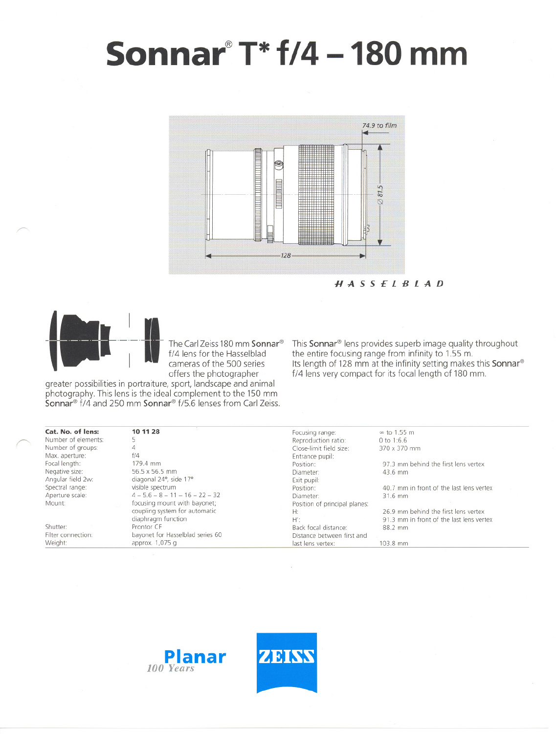# **Sonnar@T\*1/4 -180 mm**



HASSElBlAD



~-

 $\subset$ 

The Carl Zeiss 180 mm Sonnar<sup>®</sup><br>f/4 lens for the Hasselblad<br>cameras of the 500 series f/4 lens for the Hasselblad cameras of the 500 series offers the photographer

greater possibilities in portraiture, sport, landscape and animal photography. This jens isthe idealcomplement to the 150 mm Sonnar@ f/4and 250 mm Sonnar@ f/5.6 lenses tram earl Zeiss.

| This <b>Sonnar</b> lens provides superb image quality throughout            |
|-----------------------------------------------------------------------------|
| the entire focusing range from infinity to 1.55 m.                          |
| Its length of 128 mm at the infinity setting makes this Sonnar <sup>®</sup> |
| f/4 lens very compact for its focal length of 180 mm.                       |
|                                                                             |

| Cat. No. of lens:   | 10 11 28                                                       | Focusing range:               | ∞ to 1.55 m                              |
|---------------------|----------------------------------------------------------------|-------------------------------|------------------------------------------|
| Number of elements: |                                                                | Reproduction ratio:           | 0 to 1:6.6                               |
| Number of groups:   |                                                                | Close-limit field size:       | 370 x 370 mm                             |
| Max. aperture:      | f/4                                                            | Entrance pupil:               |                                          |
| Focal length:       | 179.4 mm                                                       | Position:                     | 97.3 mm behind the first lens vertex     |
| Negative size:      | 56.5 x 56.5 mm                                                 | Diameter:                     | 43.6 mm                                  |
| Angular field 2w:   | diagonal 24°, side 17°                                         | Exit pupil:                   |                                          |
| Spectral range:     | visible spectrum                                               | Position:                     | 40.7 mm in front of the last lens vertex |
| Aperture scale:     | $4 - 5.6 - 8 - 11 - 16 - 22 - 32$                              | Diameter:                     | 31.6 mm                                  |
| Mount:              | focusing mount with bayonet;                                   | Position of principal planes: |                                          |
|                     | coupling system for automatic                                  | H:                            | 26.9 mm behind the first lens vertex     |
|                     | diaphragm function                                             | H':                           | 91.3 mm in front of the last lens vertex |
| Shutter:            | Prontor CF                                                     | Back focal distance:          | 88.2 mm                                  |
| Filter connection:  | bayonet for Hasselblad series 60<br>Distance between first and |                               |                                          |
| Weight:             | approx. 1,075 g                                                | last lens vertex:             | 103.8 mm                                 |